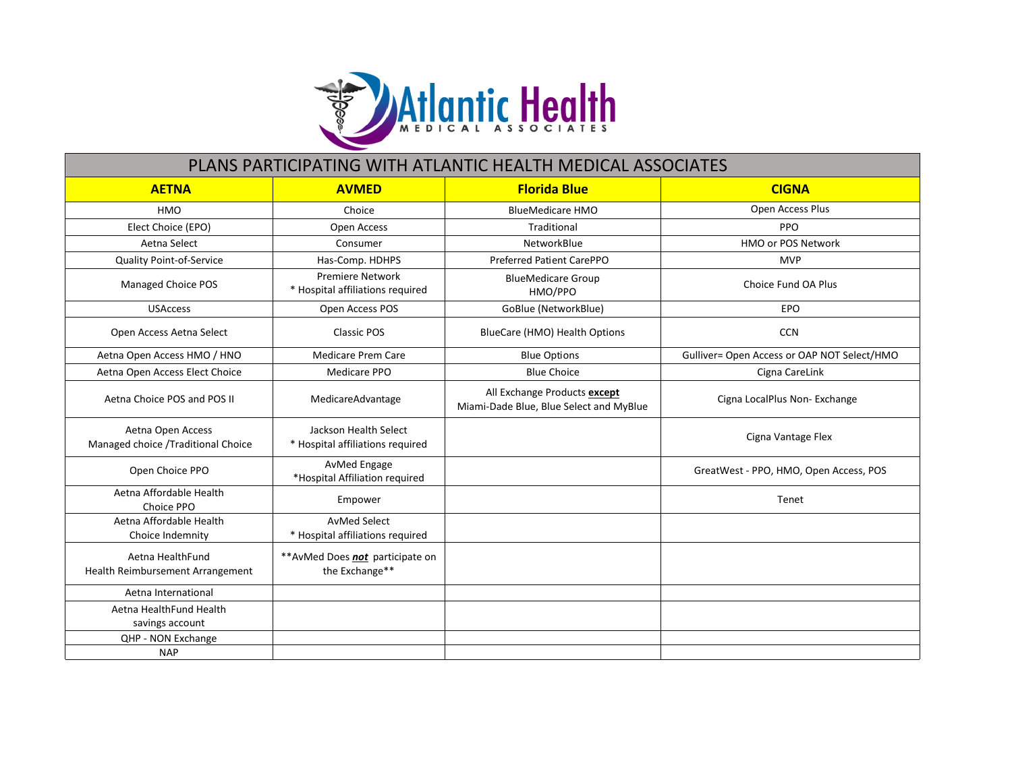

| PLANS PARTICIPATING WITH ATLANTIC HEALTH MEDICAL ASSOCIATES |                                                             |                                                                         |                                             |  |  |
|-------------------------------------------------------------|-------------------------------------------------------------|-------------------------------------------------------------------------|---------------------------------------------|--|--|
| <b>AETNA</b>                                                | <b>AVMED</b>                                                | <b>Florida Blue</b>                                                     | <b>CIGNA</b>                                |  |  |
| <b>HMO</b>                                                  | Choice                                                      | <b>BlueMedicare HMO</b>                                                 | Open Access Plus                            |  |  |
| Elect Choice (EPO)                                          | <b>Open Access</b>                                          | Traditional                                                             | PPO                                         |  |  |
| Aetna Select                                                | Consumer                                                    | NetworkBlue                                                             | <b>HMO or POS Network</b>                   |  |  |
| <b>Quality Point-of-Service</b>                             | Has-Comp. HDHPS                                             | Preferred Patient CarePPO                                               | <b>MVP</b>                                  |  |  |
| Managed Choice POS                                          | <b>Premiere Network</b><br>* Hospital affiliations required | <b>BlueMedicare Group</b><br>HMO/PPO                                    | Choice Fund OA Plus                         |  |  |
| <b>USAccess</b>                                             | Open Access POS                                             | GoBlue (NetworkBlue)                                                    | EPO                                         |  |  |
| Open Access Aetna Select                                    | <b>Classic POS</b>                                          | BlueCare (HMO) Health Options                                           | <b>CCN</b>                                  |  |  |
| Aetna Open Access HMO / HNO                                 | <b>Medicare Prem Care</b>                                   | <b>Blue Options</b>                                                     | Gulliver= Open Access or OAP NOT Select/HMO |  |  |
| Aetna Open Access Elect Choice                              | Medicare PPO                                                | <b>Blue Choice</b>                                                      | Cigna CareLink                              |  |  |
| Aetna Choice POS and POS II                                 | MedicareAdvantage                                           | All Exchange Products except<br>Miami-Dade Blue, Blue Select and MyBlue | Cigna LocalPlus Non- Exchange               |  |  |
| Aetna Open Access<br>Managed choice /Traditional Choice     | Jackson Health Select<br>* Hospital affiliations required   |                                                                         | Cigna Vantage Flex                          |  |  |
| Open Choice PPO                                             | AvMed Engage<br>*Hospital Affiliation required              |                                                                         | GreatWest - PPO, HMO, Open Access, POS      |  |  |
| Aetna Affordable Health<br>Choice PPO                       | Empower                                                     |                                                                         | Tenet                                       |  |  |
| Aetna Affordable Health<br>Choice Indemnity                 | <b>AvMed Select</b><br>* Hospital affiliations required     |                                                                         |                                             |  |  |
| Aetna HealthFund<br>Health Reimbursement Arrangement        | ** AvMed Does not participate on<br>the Exchange**          |                                                                         |                                             |  |  |
| Aetna International                                         |                                                             |                                                                         |                                             |  |  |
| Aetna HealthFund Health<br>savings account                  |                                                             |                                                                         |                                             |  |  |
| QHP - NON Exchange                                          |                                                             |                                                                         |                                             |  |  |
| <b>NAP</b>                                                  |                                                             |                                                                         |                                             |  |  |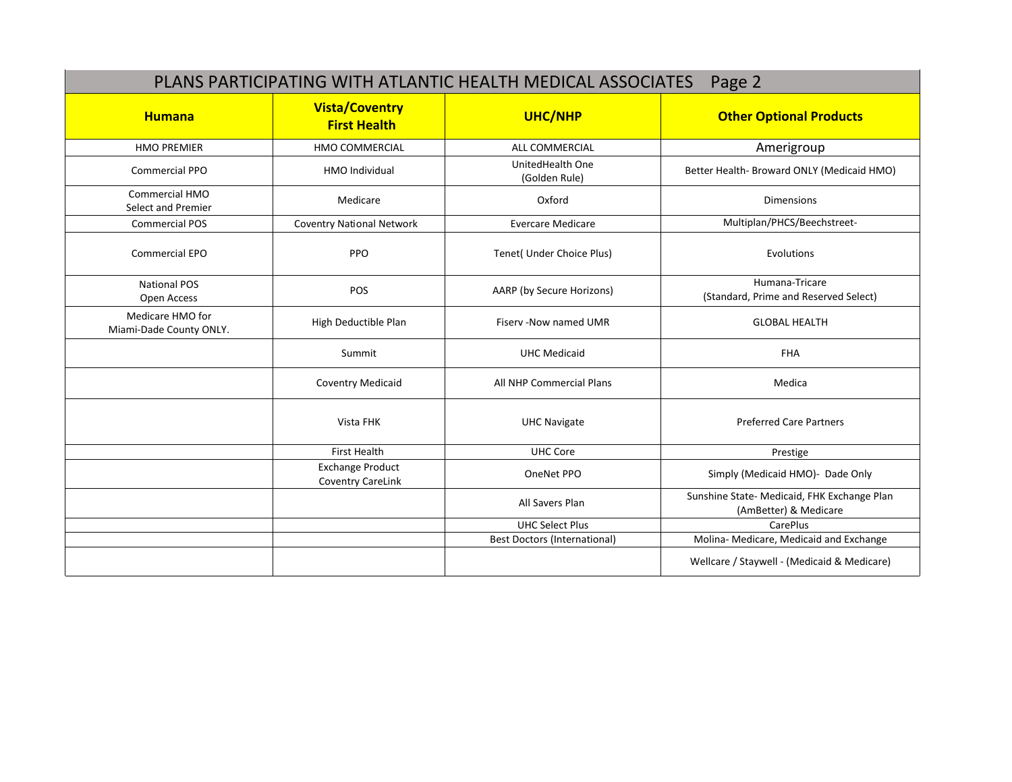|                                             |                                              | PLANS PARTICIPATING WITH ATLANTIC HEALTH MEDICAL ASSOCIATES | Page 2                                                               |
|---------------------------------------------|----------------------------------------------|-------------------------------------------------------------|----------------------------------------------------------------------|
| <b>Humana</b>                               | <b>Vista/Coventry</b><br><b>First Health</b> | UHC/NHP                                                     | <b>Other Optional Products</b>                                       |
| <b>HMO PREMIER</b>                          | HMO COMMERCIAL                               | <b>ALL COMMERCIAL</b>                                       | Amerigroup                                                           |
| <b>Commercial PPO</b>                       | HMO Individual                               | UnitedHealth One<br>(Golden Rule)                           | Better Health- Broward ONLY (Medicaid HMO)                           |
| Commercial HMO<br>Select and Premier        | Medicare                                     | Oxford                                                      | <b>Dimensions</b>                                                    |
| <b>Commercial POS</b>                       | <b>Coventry National Network</b>             | <b>Evercare Medicare</b>                                    | Multiplan/PHCS/Beechstreet-                                          |
| <b>Commercial EPO</b>                       | <b>PPO</b>                                   | Tenet( Under Choice Plus)                                   | Evolutions                                                           |
| <b>National POS</b><br>Open Access          | POS                                          | AARP (by Secure Horizons)                                   | Humana-Tricare<br>(Standard, Prime and Reserved Select)              |
| Medicare HMO for<br>Miami-Dade County ONLY. | High Deductible Plan                         | Fisery - Now named UMR                                      | <b>GLOBAL HEALTH</b>                                                 |
|                                             | Summit                                       | <b>UHC Medicaid</b>                                         | <b>FHA</b>                                                           |
|                                             | <b>Coventry Medicaid</b>                     | All NHP Commercial Plans                                    | Medica                                                               |
|                                             | Vista FHK                                    | <b>UHC Navigate</b>                                         | <b>Preferred Care Partners</b>                                       |
|                                             | <b>First Health</b>                          | <b>UHC Core</b>                                             | Prestige                                                             |
|                                             | <b>Exchange Product</b><br>Coventry CareLink | OneNet PPO                                                  | Simply (Medicaid HMO)- Dade Only                                     |
|                                             |                                              | All Savers Plan                                             | Sunshine State- Medicaid, FHK Exchange Plan<br>(AmBetter) & Medicare |
|                                             |                                              | <b>UHC Select Plus</b>                                      | CarePlus                                                             |
|                                             |                                              | <b>Best Doctors (International)</b>                         | Molina- Medicare, Medicaid and Exchange                              |
|                                             |                                              |                                                             | Wellcare / Staywell - (Medicaid & Medicare)                          |
|                                             |                                              |                                                             |                                                                      |